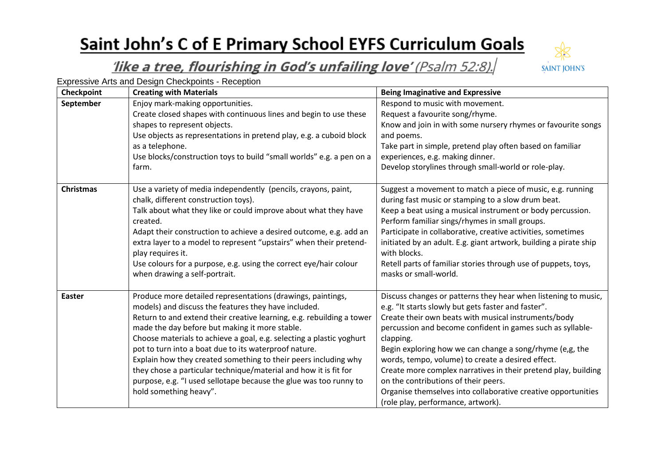## Saint John's C of E Primary School EYFS Curriculum Goals



## like a tree, flourishing in God's unfailing love' (Psalm 52:8).

Expressive Arts and Design Checkpoints - Reception

| Checkpoint       | <b>Creating with Materials</b>                                                                                          | <b>Being Imaginative and Expressive</b>                                                                            |
|------------------|-------------------------------------------------------------------------------------------------------------------------|--------------------------------------------------------------------------------------------------------------------|
| September        | Enjoy mark-making opportunities.                                                                                        | Respond to music with movement.                                                                                    |
|                  | Create closed shapes with continuous lines and begin to use these                                                       | Request a favourite song/rhyme.                                                                                    |
|                  | shapes to represent objects.                                                                                            | Know and join in with some nursery rhymes or favourite songs                                                       |
|                  | Use objects as representations in pretend play, e.g. a cuboid block                                                     | and poems.                                                                                                         |
|                  | as a telephone.                                                                                                         | Take part in simple, pretend play often based on familiar                                                          |
|                  | Use blocks/construction toys to build "small worlds" e.g. a pen on a                                                    | experiences, e.g. making dinner.                                                                                   |
|                  | farm.                                                                                                                   | Develop storylines through small-world or role-play.                                                               |
| <b>Christmas</b> | Use a variety of media independently (pencils, crayons, paint,                                                          | Suggest a movement to match a piece of music, e.g. running                                                         |
|                  | chalk, different construction toys).                                                                                    | during fast music or stamping to a slow drum beat.                                                                 |
|                  | Talk about what they like or could improve about what they have                                                         | Keep a beat using a musical instrument or body percussion.                                                         |
|                  | created.                                                                                                                | Perform familiar sings/rhymes in small groups.                                                                     |
|                  | Adapt their construction to achieve a desired outcome, e.g. add an                                                      | Participate in collaborative, creative activities, sometimes                                                       |
|                  | extra layer to a model to represent "upstairs" when their pretend-<br>play requires it.                                 | initiated by an adult. E.g. giant artwork, building a pirate ship<br>with blocks.                                  |
|                  | Use colours for a purpose, e.g. using the correct eye/hair colour<br>when drawing a self-portrait.                      | Retell parts of familiar stories through use of puppets, toys,<br>masks or small-world.                            |
| <b>Easter</b>    | Produce more detailed representations (drawings, paintings,                                                             | Discuss changes or patterns they hear when listening to music,                                                     |
|                  | models) and discuss the features they have included.                                                                    | e.g. "It starts slowly but gets faster and faster".                                                                |
|                  | Return to and extend their creative learning, e.g. rebuilding a tower<br>made the day before but making it more stable. | Create their own beats with musical instruments/body<br>percussion and become confident in games such as syllable- |
|                  | Choose materials to achieve a goal, e.g. selecting a plastic yoghurt                                                    | clapping.                                                                                                          |
|                  | pot to turn into a boat due to its waterproof nature.                                                                   | Begin exploring how we can change a song/rhyme (e,g, the                                                           |
|                  | Explain how they created something to their peers including why                                                         | words, tempo, volume) to create a desired effect.                                                                  |
|                  | they chose a particular technique/material and how it is fit for                                                        | Create more complex narratives in their pretend play, building                                                     |
|                  | purpose, e.g. "I used sellotape because the glue was too runny to                                                       | on the contributions of their peers.                                                                               |
|                  | hold something heavy".                                                                                                  | Organise themselves into collaborative creative opportunities                                                      |
|                  |                                                                                                                         | (role play, performance, artwork).                                                                                 |